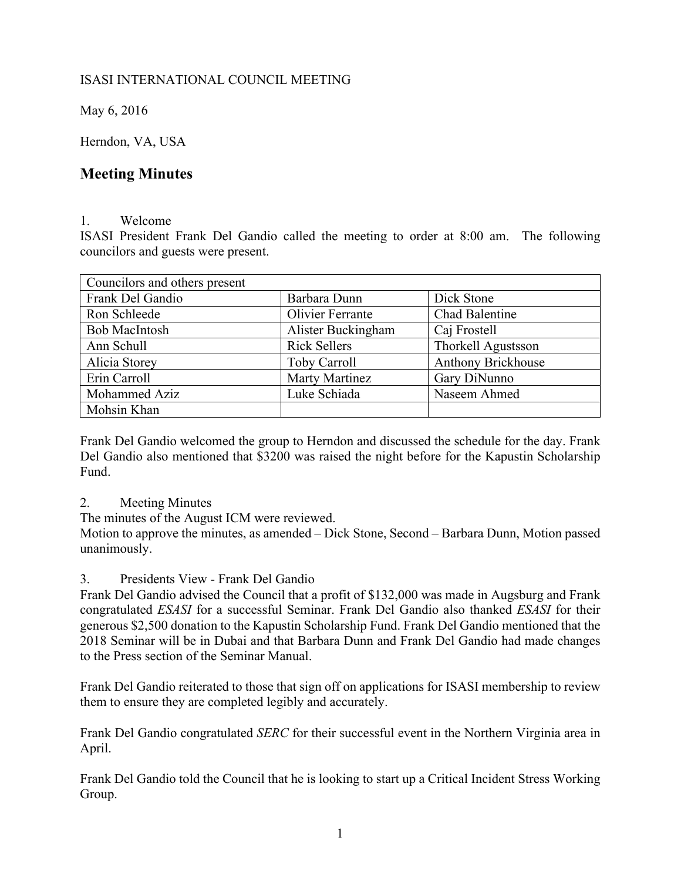## ISASI INTERNATIONAL COUNCIL MEETING

May 6, 2016

Herndon, VA, USA

# **Meeting Minutes**

#### 1. Welcome

ISASI President Frank Del Gandio called the meeting to order at 8:00 am. The following councilors and guests were present.

| Councilors and others present |                     |                           |
|-------------------------------|---------------------|---------------------------|
| Frank Del Gandio              | Barbara Dunn        | Dick Stone                |
| Ron Schleede                  | Olivier Ferrante    | <b>Chad Balentine</b>     |
| <b>Bob MacIntosh</b>          | Alister Buckingham  | Caj Frostell              |
| Ann Schull                    | <b>Rick Sellers</b> | <b>Thorkell Agustsson</b> |
| Alicia Storey                 | <b>Toby Carroll</b> | <b>Anthony Brickhouse</b> |
| Erin Carroll                  | Marty Martinez      | Gary DiNunno              |
| Mohammed Aziz                 | Luke Schiada        | Naseem Ahmed              |
| Mohsin Khan                   |                     |                           |

Frank Del Gandio welcomed the group to Herndon and discussed the schedule for the day. Frank Del Gandio also mentioned that \$3200 was raised the night before for the Kapustin Scholarship Fund.

## 2. Meeting Minutes

The minutes of the August ICM were reviewed.

Motion to approve the minutes, as amended – Dick Stone, Second – Barbara Dunn, Motion passed unanimously.

## 3. Presidents View - Frank Del Gandio

Frank Del Gandio advised the Council that a profit of \$132,000 was made in Augsburg and Frank congratulated *ESASI* for a successful Seminar. Frank Del Gandio also thanked *ESASI* for their generous \$2,500 donation to the Kapustin Scholarship Fund. Frank Del Gandio mentioned that the 2018 Seminar will be in Dubai and that Barbara Dunn and Frank Del Gandio had made changes to the Press section of the Seminar Manual.

Frank Del Gandio reiterated to those that sign off on applications for ISASI membership to review them to ensure they are completed legibly and accurately.

Frank Del Gandio congratulated *SERC* for their successful event in the Northern Virginia area in April.

Frank Del Gandio told the Council that he is looking to start up a Critical Incident Stress Working Group.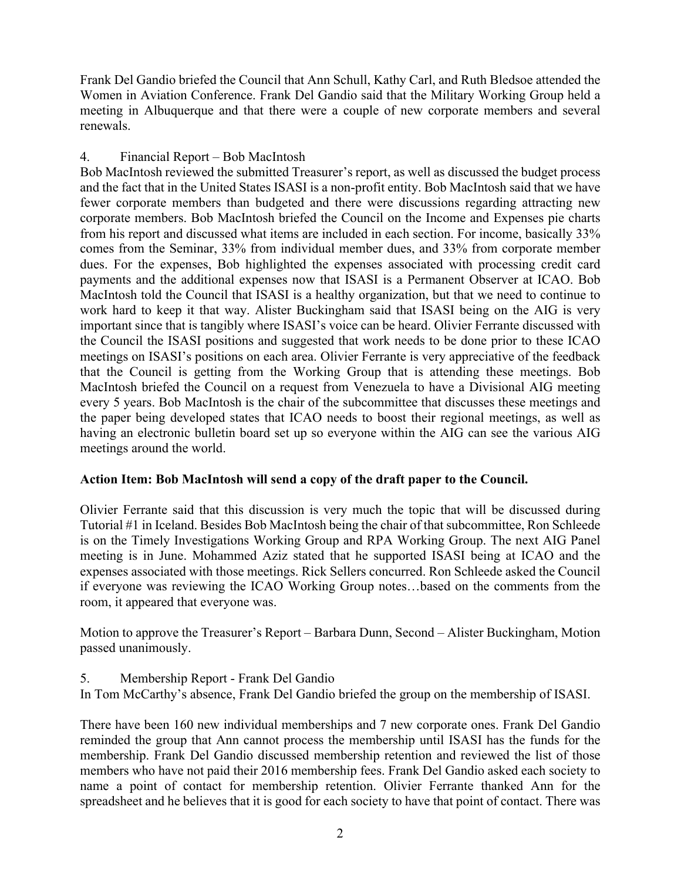Frank Del Gandio briefed the Council that Ann Schull, Kathy Carl, and Ruth Bledsoe attended the Women in Aviation Conference. Frank Del Gandio said that the Military Working Group held a meeting in Albuquerque and that there were a couple of new corporate members and several renewals.

## 4. Financial Report – Bob MacIntosh

Bob MacIntosh reviewed the submitted Treasurer's report, as well as discussed the budget process and the fact that in the United States ISASI is a non-profit entity. Bob MacIntosh said that we have fewer corporate members than budgeted and there were discussions regarding attracting new corporate members. Bob MacIntosh briefed the Council on the Income and Expenses pie charts from his report and discussed what items are included in each section. For income, basically 33% comes from the Seminar, 33% from individual member dues, and 33% from corporate member dues. For the expenses, Bob highlighted the expenses associated with processing credit card payments and the additional expenses now that ISASI is a Permanent Observer at ICAO. Bob MacIntosh told the Council that ISASI is a healthy organization, but that we need to continue to work hard to keep it that way. Alister Buckingham said that ISASI being on the AIG is very important since that is tangibly where ISASI's voice can be heard. Olivier Ferrante discussed with the Council the ISASI positions and suggested that work needs to be done prior to these ICAO meetings on ISASI's positions on each area. Olivier Ferrante is very appreciative of the feedback that the Council is getting from the Working Group that is attending these meetings. Bob MacIntosh briefed the Council on a request from Venezuela to have a Divisional AIG meeting every 5 years. Bob MacIntosh is the chair of the subcommittee that discusses these meetings and the paper being developed states that ICAO needs to boost their regional meetings, as well as having an electronic bulletin board set up so everyone within the AIG can see the various AIG meetings around the world.

## **Action Item: Bob MacIntosh will send a copy of the draft paper to the Council.**

Olivier Ferrante said that this discussion is very much the topic that will be discussed during Tutorial #1 in Iceland. Besides Bob MacIntosh being the chair of that subcommittee, Ron Schleede is on the Timely Investigations Working Group and RPA Working Group. The next AIG Panel meeting is in June. Mohammed Aziz stated that he supported ISASI being at ICAO and the expenses associated with those meetings. Rick Sellers concurred. Ron Schleede asked the Council if everyone was reviewing the ICAO Working Group notes…based on the comments from the room, it appeared that everyone was.

Motion to approve the Treasurer's Report – Barbara Dunn, Second – Alister Buckingham, Motion passed unanimously.

5. Membership Report - Frank Del Gandio

In Tom McCarthy's absence, Frank Del Gandio briefed the group on the membership of ISASI.

There have been 160 new individual memberships and 7 new corporate ones. Frank Del Gandio reminded the group that Ann cannot process the membership until ISASI has the funds for the membership. Frank Del Gandio discussed membership retention and reviewed the list of those members who have not paid their 2016 membership fees. Frank Del Gandio asked each society to name a point of contact for membership retention. Olivier Ferrante thanked Ann for the spreadsheet and he believes that it is good for each society to have that point of contact. There was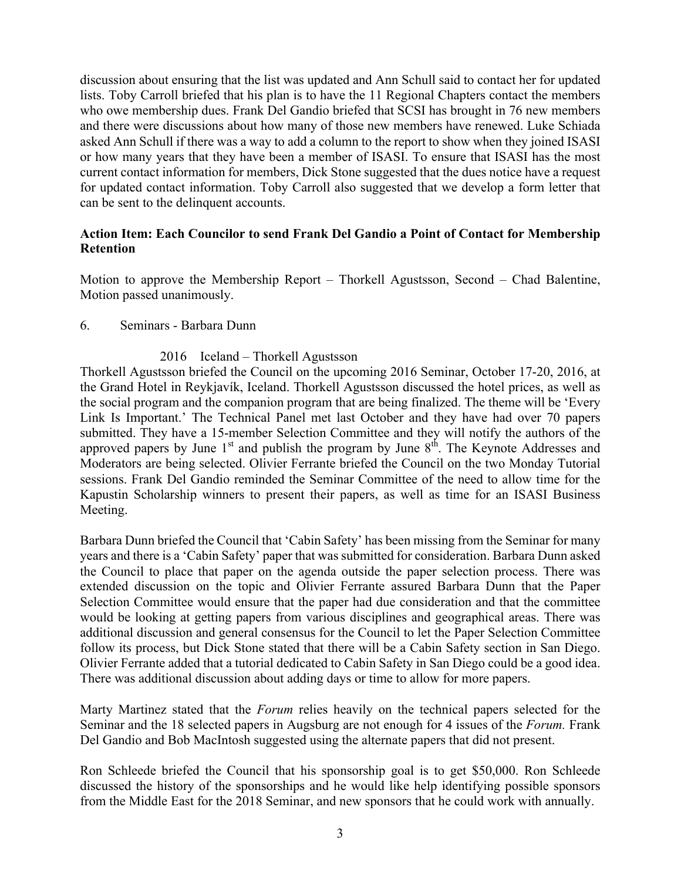discussion about ensuring that the list was updated and Ann Schull said to contact her for updated lists. Toby Carroll briefed that his plan is to have the 11 Regional Chapters contact the members who owe membership dues. Frank Del Gandio briefed that SCSI has brought in 76 new members and there were discussions about how many of those new members have renewed. Luke Schiada asked Ann Schull if there was a way to add a column to the report to show when they joined ISASI or how many years that they have been a member of ISASI. To ensure that ISASI has the most current contact information for members, Dick Stone suggested that the dues notice have a request for updated contact information. Toby Carroll also suggested that we develop a form letter that can be sent to the delinquent accounts.

#### **Action Item: Each Councilor to send Frank Del Gandio a Point of Contact for Membership Retention**

Motion to approve the Membership Report – Thorkell Agustsson, Second – Chad Balentine, Motion passed unanimously.

#### 6. Seminars - Barbara Dunn

## 2016 Iceland – Thorkell Agustsson

Thorkell Agustsson briefed the Council on the upcoming 2016 Seminar, October 17-20, 2016, at the Grand Hotel in Reykjavík, Iceland. Thorkell Agustsson discussed the hotel prices, as well as the social program and the companion program that are being finalized. The theme will be 'Every Link Is Important.' The Technical Panel met last October and they have had over 70 papers submitted. They have a 15-member Selection Committee and they will notify the authors of the approved papers by June  $1<sup>st</sup>$  and publish the program by June  $8<sup>th</sup>$ . The Keynote Addresses and Moderators are being selected. Olivier Ferrante briefed the Council on the two Monday Tutorial sessions. Frank Del Gandio reminded the Seminar Committee of the need to allow time for the Kapustin Scholarship winners to present their papers, as well as time for an ISASI Business Meeting.

Barbara Dunn briefed the Council that 'Cabin Safety' has been missing from the Seminar for many years and there is a 'Cabin Safety' paper that was submitted for consideration. Barbara Dunn asked the Council to place that paper on the agenda outside the paper selection process. There was extended discussion on the topic and Olivier Ferrante assured Barbara Dunn that the Paper Selection Committee would ensure that the paper had due consideration and that the committee would be looking at getting papers from various disciplines and geographical areas. There was additional discussion and general consensus for the Council to let the Paper Selection Committee follow its process, but Dick Stone stated that there will be a Cabin Safety section in San Diego. Olivier Ferrante added that a tutorial dedicated to Cabin Safety in San Diego could be a good idea. There was additional discussion about adding days or time to allow for more papers.

Marty Martinez stated that the *Forum* relies heavily on the technical papers selected for the Seminar and the 18 selected papers in Augsburg are not enough for 4 issues of the *Forum.* Frank Del Gandio and Bob MacIntosh suggested using the alternate papers that did not present.

Ron Schleede briefed the Council that his sponsorship goal is to get \$50,000. Ron Schleede discussed the history of the sponsorships and he would like help identifying possible sponsors from the Middle East for the 2018 Seminar, and new sponsors that he could work with annually.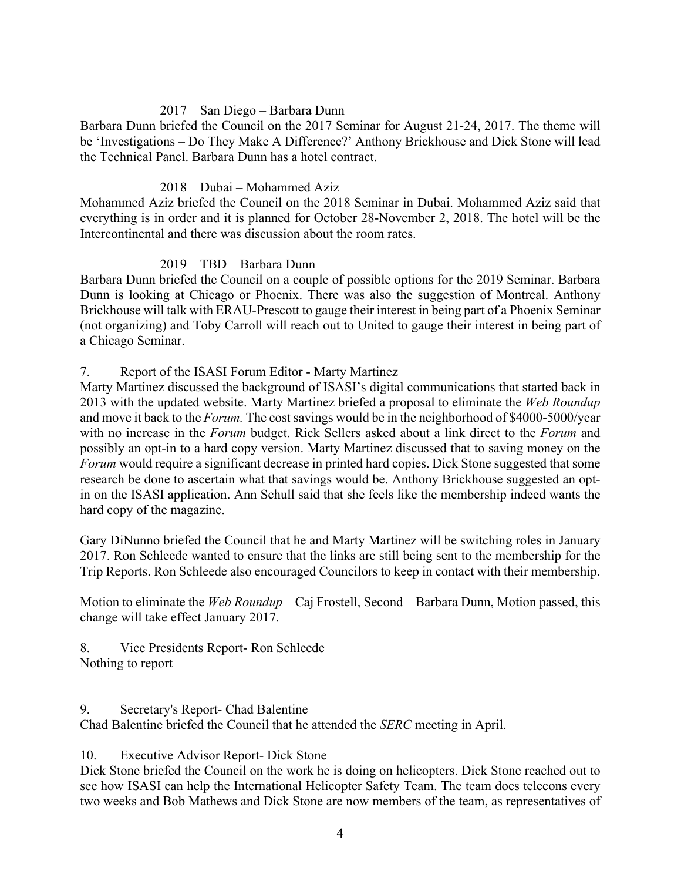## 2017 San Diego – Barbara Dunn

Barbara Dunn briefed the Council on the 2017 Seminar for August 21-24, 2017. The theme will be 'Investigations – Do They Make A Difference?' Anthony Brickhouse and Dick Stone will lead the Technical Panel. Barbara Dunn has a hotel contract.

#### 2018 Dubai – Mohammed Aziz

Mohammed Aziz briefed the Council on the 2018 Seminar in Dubai. Mohammed Aziz said that everything is in order and it is planned for October 28-November 2, 2018. The hotel will be the Intercontinental and there was discussion about the room rates.

#### 2019 TBD – Barbara Dunn

Barbara Dunn briefed the Council on a couple of possible options for the 2019 Seminar. Barbara Dunn is looking at Chicago or Phoenix. There was also the suggestion of Montreal. Anthony Brickhouse will talk with ERAU-Prescott to gauge their interest in being part of a Phoenix Seminar (not organizing) and Toby Carroll will reach out to United to gauge their interest in being part of a Chicago Seminar.

#### 7. Report of the ISASI Forum Editor - Marty Martinez

Marty Martinez discussed the background of ISASI's digital communications that started back in 2013 with the updated website. Marty Martinez briefed a proposal to eliminate the *Web Roundup* and move it back to the *Forum.* The cost savings would be in the neighborhood of \$4000-5000/year with no increase in the *Forum* budget. Rick Sellers asked about a link direct to the *Forum* and possibly an opt-in to a hard copy version. Marty Martinez discussed that to saving money on the *Forum* would require a significant decrease in printed hard copies. Dick Stone suggested that some research be done to ascertain what that savings would be. Anthony Brickhouse suggested an optin on the ISASI application. Ann Schull said that she feels like the membership indeed wants the hard copy of the magazine.

Gary DiNunno briefed the Council that he and Marty Martinez will be switching roles in January 2017. Ron Schleede wanted to ensure that the links are still being sent to the membership for the Trip Reports. Ron Schleede also encouraged Councilors to keep in contact with their membership.

Motion to eliminate the *Web Roundup* – Caj Frostell, Second – Barbara Dunn, Motion passed, this change will take effect January 2017.

8. Vice Presidents Report- Ron Schleede Nothing to report

9. Secretary's Report- Chad Balentine

Chad Balentine briefed the Council that he attended the *SERC* meeting in April.

10. Executive Advisor Report- Dick Stone

Dick Stone briefed the Council on the work he is doing on helicopters. Dick Stone reached out to see how ISASI can help the International Helicopter Safety Team. The team does telecons every two weeks and Bob Mathews and Dick Stone are now members of the team, as representatives of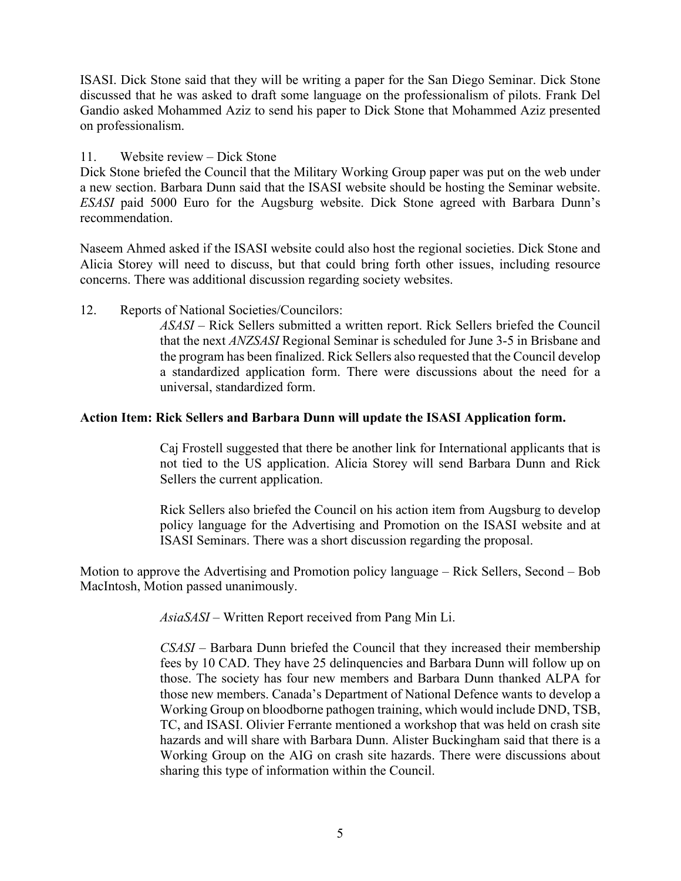ISASI. Dick Stone said that they will be writing a paper for the San Diego Seminar. Dick Stone discussed that he was asked to draft some language on the professionalism of pilots. Frank Del Gandio asked Mohammed Aziz to send his paper to Dick Stone that Mohammed Aziz presented on professionalism.

#### 11. Website review – Dick Stone

Dick Stone briefed the Council that the Military Working Group paper was put on the web under a new section. Barbara Dunn said that the ISASI website should be hosting the Seminar website. *ESASI* paid 5000 Euro for the Augsburg website. Dick Stone agreed with Barbara Dunn's recommendation.

Naseem Ahmed asked if the ISASI website could also host the regional societies. Dick Stone and Alicia Storey will need to discuss, but that could bring forth other issues, including resource concerns. There was additional discussion regarding society websites.

12. Reports of National Societies/Councilors:

*ASASI –* Rick Sellers submitted a written report. Rick Sellers briefed the Council that the next *ANZSASI* Regional Seminar is scheduled for June 3-5 in Brisbane and the program has been finalized. Rick Sellers also requested that the Council develop a standardized application form. There were discussions about the need for a universal, standardized form.

## **Action Item: Rick Sellers and Barbara Dunn will update the ISASI Application form.**

Caj Frostell suggested that there be another link for International applicants that is not tied to the US application. Alicia Storey will send Barbara Dunn and Rick Sellers the current application.

Rick Sellers also briefed the Council on his action item from Augsburg to develop policy language for the Advertising and Promotion on the ISASI website and at ISASI Seminars. There was a short discussion regarding the proposal.

Motion to approve the Advertising and Promotion policy language – Rick Sellers, Second – Bob MacIntosh, Motion passed unanimously.

*AsiaSASI* – Written Report received from Pang Min Li.

*CSASI –* Barbara Dunn briefed the Council that they increased their membership fees by 10 CAD. They have 25 delinquencies and Barbara Dunn will follow up on those. The society has four new members and Barbara Dunn thanked ALPA for those new members. Canada's Department of National Defence wants to develop a Working Group on bloodborne pathogen training, which would include DND, TSB, TC, and ISASI. Olivier Ferrante mentioned a workshop that was held on crash site hazards and will share with Barbara Dunn. Alister Buckingham said that there is a Working Group on the AIG on crash site hazards. There were discussions about sharing this type of information within the Council.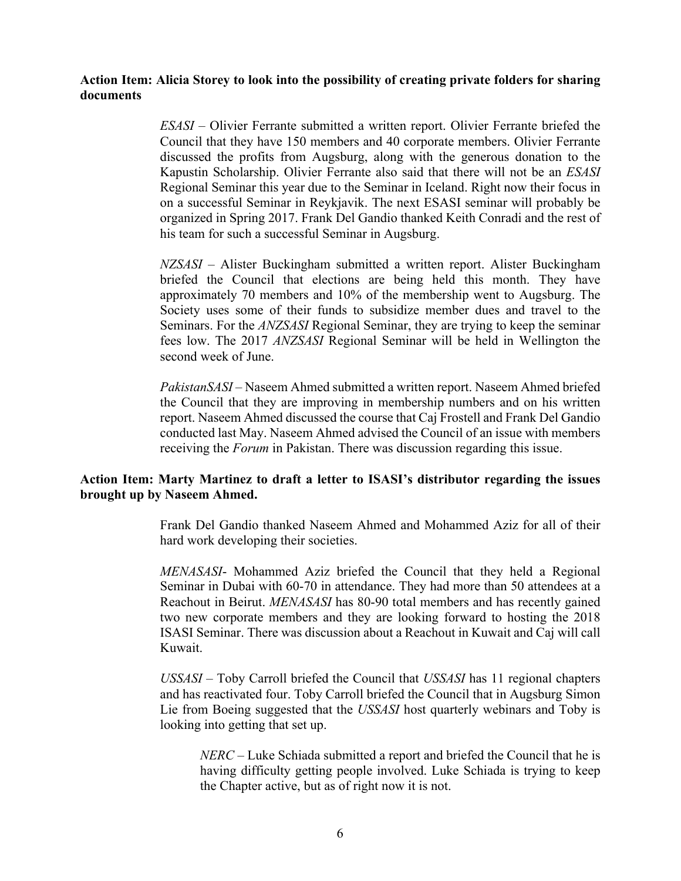#### **Action Item: Alicia Storey to look into the possibility of creating private folders for sharing documents**

*ESASI –* Olivier Ferrante submitted a written report. Olivier Ferrante briefed the Council that they have 150 members and 40 corporate members. Olivier Ferrante discussed the profits from Augsburg, along with the generous donation to the Kapustin Scholarship. Olivier Ferrante also said that there will not be an *ESASI* Regional Seminar this year due to the Seminar in Iceland. Right now their focus in on a successful Seminar in Reykjavik. The next ESASI seminar will probably be organized in Spring 2017. Frank Del Gandio thanked Keith Conradi and the rest of his team for such a successful Seminar in Augsburg.

*NZSASI –* Alister Buckingham submitted a written report. Alister Buckingham briefed the Council that elections are being held this month. They have approximately 70 members and 10% of the membership went to Augsburg. The Society uses some of their funds to subsidize member dues and travel to the Seminars. For the *ANZSASI* Regional Seminar, they are trying to keep the seminar fees low. The 2017 *ANZSASI* Regional Seminar will be held in Wellington the second week of June.

*PakistanSASI* – Naseem Ahmed submitted a written report. Naseem Ahmed briefed the Council that they are improving in membership numbers and on his written report. Naseem Ahmed discussed the course that Caj Frostell and Frank Del Gandio conducted last May. Naseem Ahmed advised the Council of an issue with members receiving the *Forum* in Pakistan. There was discussion regarding this issue.

#### **Action Item: Marty Martinez to draft a letter to ISASI's distributor regarding the issues brought up by Naseem Ahmed.**

Frank Del Gandio thanked Naseem Ahmed and Mohammed Aziz for all of their hard work developing their societies.

*MENASASI*- Mohammed Aziz briefed the Council that they held a Regional Seminar in Dubai with 60-70 in attendance. They had more than 50 attendees at a Reachout in Beirut. *MENASASI* has 80-90 total members and has recently gained two new corporate members and they are looking forward to hosting the 2018 ISASI Seminar. There was discussion about a Reachout in Kuwait and Caj will call Kuwait.

*USSASI* – Toby Carroll briefed the Council that *USSASI* has 11 regional chapters and has reactivated four. Toby Carroll briefed the Council that in Augsburg Simon Lie from Boeing suggested that the *USSASI* host quarterly webinars and Toby is looking into getting that set up.

*NERC* – Luke Schiada submitted a report and briefed the Council that he is having difficulty getting people involved. Luke Schiada is trying to keep the Chapter active, but as of right now it is not.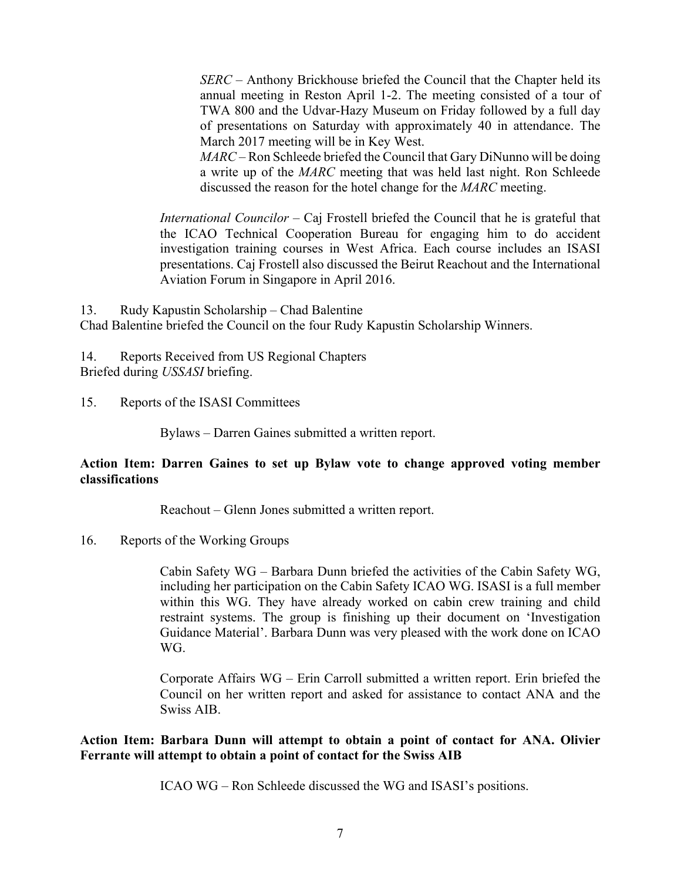*SERC* – Anthony Brickhouse briefed the Council that the Chapter held its annual meeting in Reston April 1-2. The meeting consisted of a tour of TWA 800 and the Udvar-Hazy Museum on Friday followed by a full day of presentations on Saturday with approximately 40 in attendance. The March 2017 meeting will be in Key West.

*MARC* – Ron Schleede briefed the Council that Gary DiNunno will be doing a write up of the *MARC* meeting that was held last night. Ron Schleede discussed the reason for the hotel change for the *MARC* meeting.

*International Councilor –* Caj Frostell briefed the Council that he is grateful that the ICAO Technical Cooperation Bureau for engaging him to do accident investigation training courses in West Africa. Each course includes an ISASI presentations. Caj Frostell also discussed the Beirut Reachout and the International Aviation Forum in Singapore in April 2016.

13. Rudy Kapustin Scholarship – Chad Balentine Chad Balentine briefed the Council on the four Rudy Kapustin Scholarship Winners.

14. Reports Received from US Regional Chapters Briefed during *USSASI* briefing.

15. Reports of the ISASI Committees

Bylaws – Darren Gaines submitted a written report.

## **Action Item: Darren Gaines to set up Bylaw vote to change approved voting member classifications**

Reachout – Glenn Jones submitted a written report.

16. Reports of the Working Groups

Cabin Safety WG – Barbara Dunn briefed the activities of the Cabin Safety WG, including her participation on the Cabin Safety ICAO WG. ISASI is a full member within this WG. They have already worked on cabin crew training and child restraint systems. The group is finishing up their document on 'Investigation Guidance Material'. Barbara Dunn was very pleased with the work done on ICAO WG.

Corporate Affairs WG – Erin Carroll submitted a written report. Erin briefed the Council on her written report and asked for assistance to contact ANA and the Swiss AIB.

**Action Item: Barbara Dunn will attempt to obtain a point of contact for ANA. Olivier Ferrante will attempt to obtain a point of contact for the Swiss AIB**

ICAO WG – Ron Schleede discussed the WG and ISASI's positions.